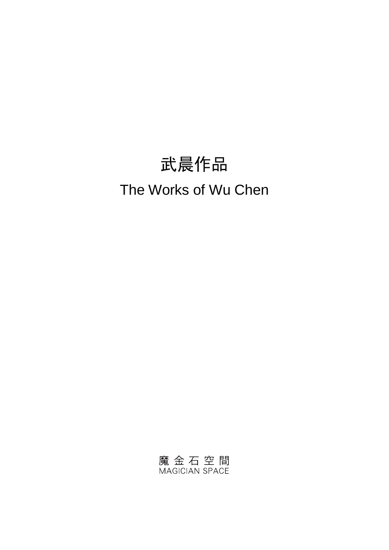# 武晨作品 The Works of Wu Chen

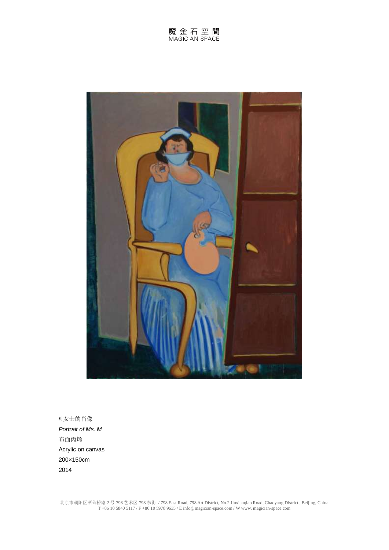魔金石空間<br>MAGICIAN SPACE



M 女士的肖像 *Portrait of Ms. M* 布面丙烯 Acrylic on canvas 200×150cm 2014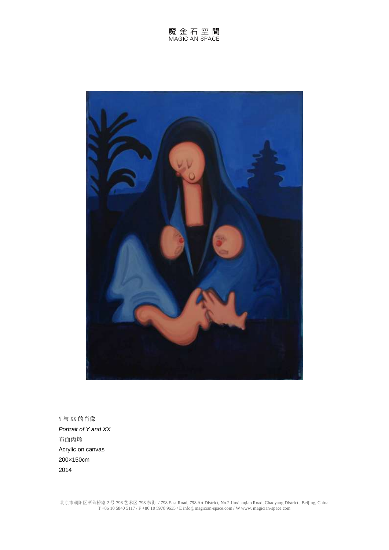魔金石空間<br>MAGICIAN SPACE



Y 与 XX 的肖像 *Portrait of Y and XX* 布面丙烯 Acrylic on canvas 200×150cm 2014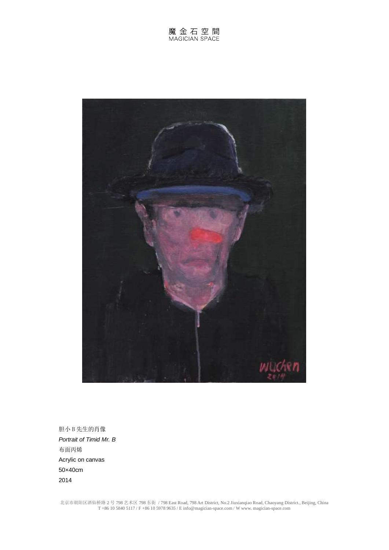魔金石空間<br>MAGICIAN SPACE



胆小 B 先生的肖像 *Portrait of Timid Mr. B* 布面丙烯 Acrylic on canvas 50×40cm 2014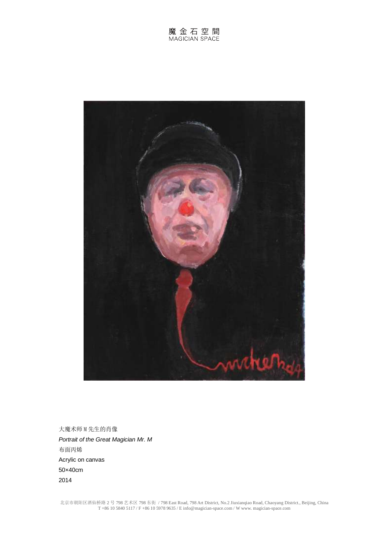魔金石空間<br>MAGICIAN SPACE



大魔术师 M 先生的肖像 *Portrait of the Great Magician Mr. M* 布面丙烯 Acrylic on canvas 50×40cm 2014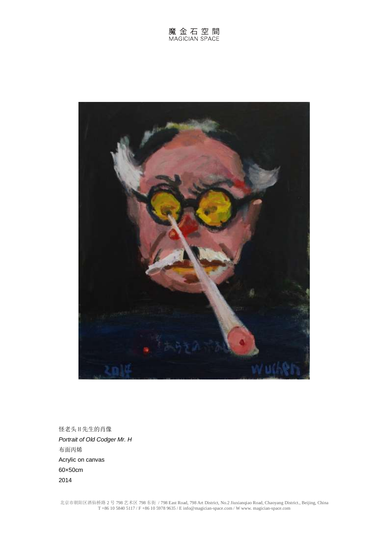魔金石空間<br>MAGICIAN SPACE



怪老头 H 先生的肖像 *Portrait of Old Codger Mr. H* 布面丙烯 Acrylic on canvas 60×50cm 2014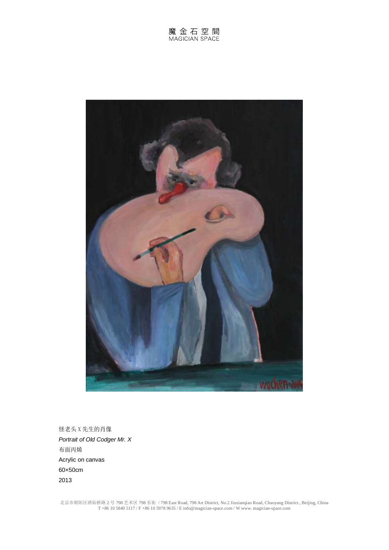魔金石空間<br>MAGICIAN SPACE



怪老头 X 先生的肖像 *Portrait of Old Codger Mr. X* 布面丙烯 Acrylic on canvas 60×50cm 2013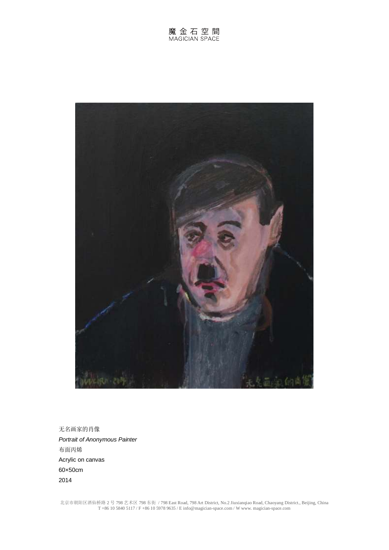魔金石空間<br>MAGICIAN SPACE



无名画家的肖像 *Portrait of Anonymous Painter* 布面丙烯 Acrylic on canvas 60×50cm 2014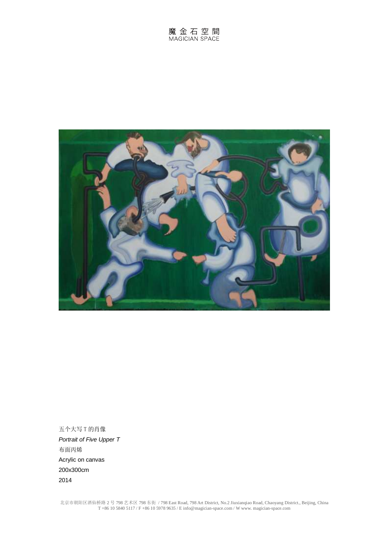魔金石空間<br>MAGICIAN SPACE



五个大写 T 的肖像 *Portrait of Five Upper T* 布面丙烯 Acrylic on canvas 200x300cm 2014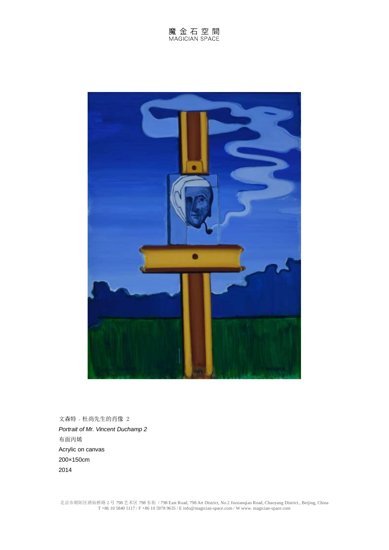魔金石空間<br>MAGICIAN SPACE



文森特 · 杜尚先生的肖像 2 *Portrait of Mr. Vincent Duchamp 2* 布面丙烯 Acrylic on canvas 200×150cm 2014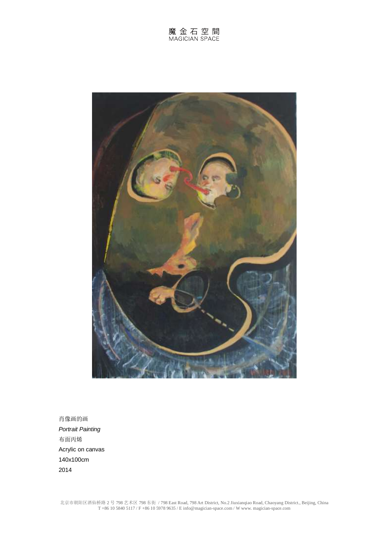魔金石空間<br>MAGICIAN SPACE



肖像画的画 *Portrait Painting* 布面丙烯 Acrylic on canvas 140x100cm 2014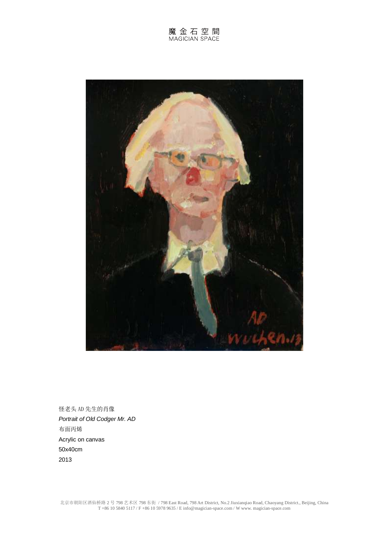魔金石空間<br>MAGICIAN SPACE



怪老头 AD 先生的肖像 *Portrait of Old Codger Mr. AD* 布面丙烯 Acrylic on canvas 50x40cm 2013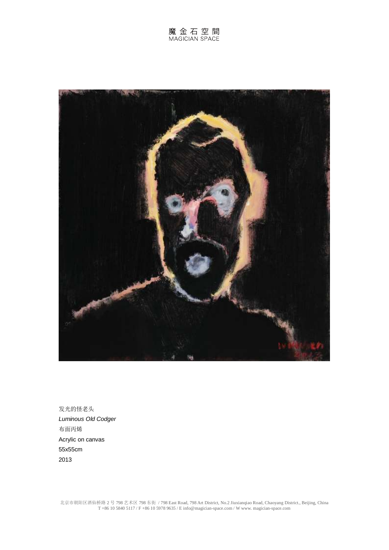魔金石空間<br>MAGICIAN SPACE



发光的怪老头 *Luminous Old Codger* 布面丙烯 Acrylic on canvas 55x55cm 2013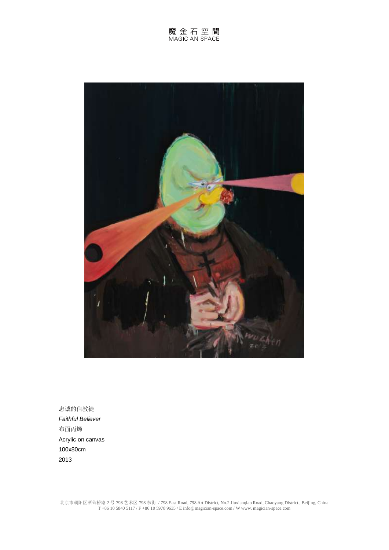魔金石空間<br>MAGICIAN SPACE



忠诚的信教徒 *Faithful Believer* 布面丙烯 Acrylic on canvas 100x80cm 2013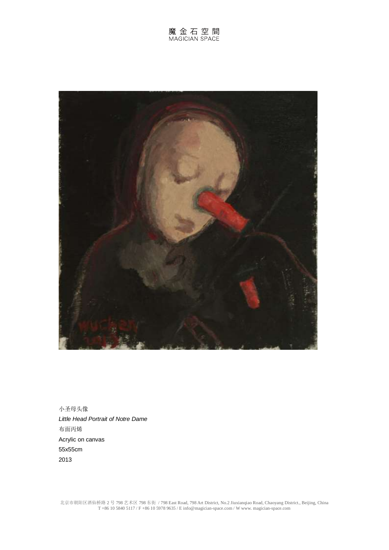魔金石空間<br>MAGICIAN SPACE



小圣母头像 *Little Head Portrait of Notre Dame* 布面丙烯 Acrylic on canvas 55x55cm 2013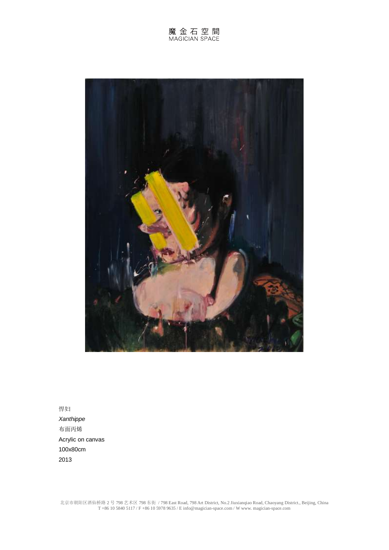魔金石空間<br>MAGICIAN SPACE



悍妇 *Xanthippe* 布面丙烯 Acrylic on canvas 100x80cm 2013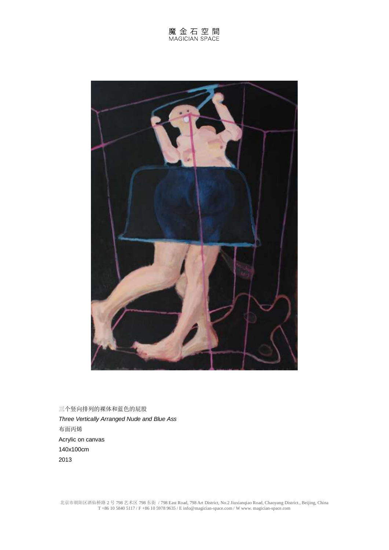魔金石空間<br>MAGICIAN SPACE



三个竖向排列的裸体和蓝色的屁股 *Three Vertically Arranged Nude and Blue Ass* 布面丙烯 Acrylic on canvas 140x100cm 2013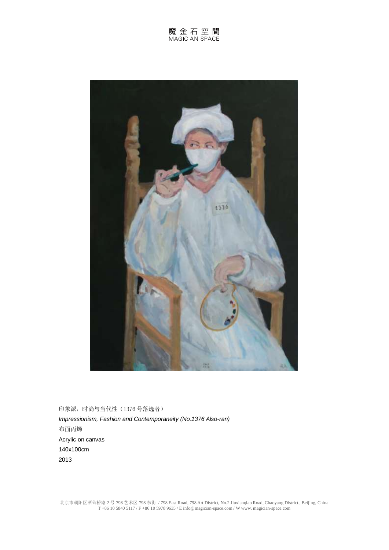魔金石空間<br>MAGICIAN SPACE



印象派,时尚与当代性(1376 号落选者) *Impressionism, Fashion and Contemporaneity (No.1376 Also-ran)* 布面丙烯 Acrylic on canvas 140x100cm 2013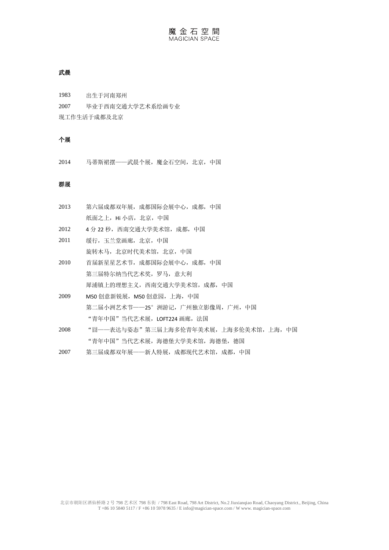## 武晨

1983 出生于河南郑州 2007 毕业于西南交通大学艺术系绘画专业 现工作生活于成都及北京

## 个展

2014 马蒂斯裙摆——武晨个展,魔金石空间,北京,中国

#### 群展

| 2013  | 第六届成都双年展, 成都国际会展中心, 成都, 中国     |
|-------|--------------------------------|
|       | 纸面之上,Hi 小店,北京,中国               |
| 2012  | 4分22秒,西南交通大学美术馆,成都,中国          |
| 2011  | 缓行, 玉兰堂画廊, 北京, 中国              |
|       | 旋转木马,北京时代美术馆,北京,中国             |
| 2010  | 首届新星星艺术节, 成都国际会展中心, 成都, 中国     |
|       | 第三届特尔纳当代艺术奖,罗马,意大利             |
|       | 犀浦镇上的理想主义, 西南交通大学美术馆, 成都, 中国   |
| 2009. | M50 创意新锐展, M50 创意园, 上海, 中国     |
|       | 第二届小洲艺术节——25°洲游记,广州独立影像周,广州,中国 |
|       | "青年中国"当代艺术展,LOFT224 画廊,法国      |
|       |                                |

- 2008 "囧——表达与姿态"第三届上海多伦青年美术展,上海多伦美术馆,上海,中国 "青年中国"当代艺术展,海德堡大学美术馆,海德堡,德国
- 2007 第三届成都双年展——新人特展,成都现代艺术馆,成都,中国